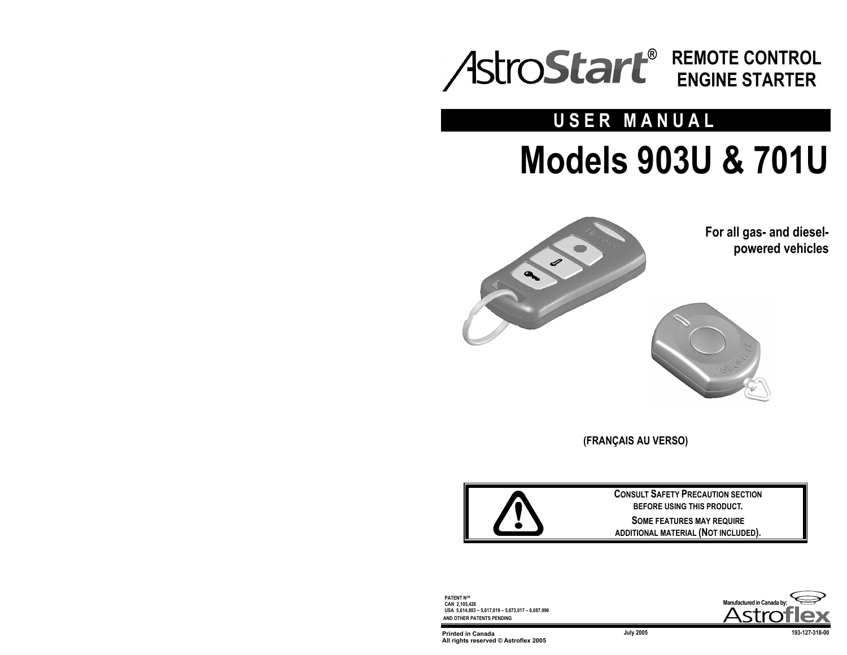

# **USER MANUAL Models 903U & 701U**



**For all gas- and dieselpowered vehicles** 



**(FRANÇAIS AU VERSO)** 



**CONSULT SAFETY PRECAUTION SECTION BEFORE USING THIS PRODUCT. SOME FEATURES MAY REQUIRE ADDITIONAL MATERIAL (NOT INCLUDED).** 

**PATENT NOS CAN 2,105,426 USA 5,614,883 – 5,617,819 – 5,673,017 – 6,087,996 AND OTHER PATENTS PENDING**



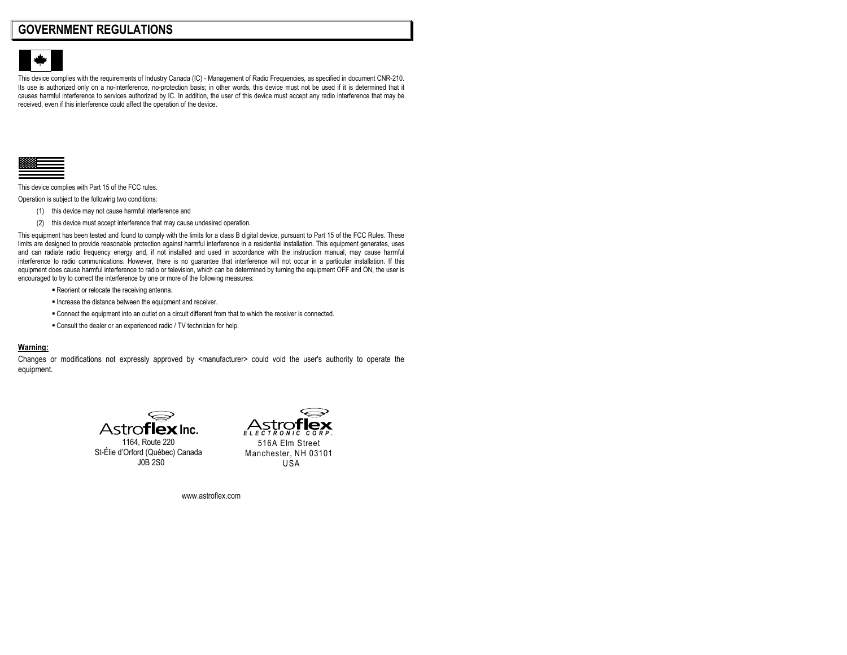## **GOVERNMENT REGULATIONS**



This device complies with the requirements of Industry Canada (IC) - Management of Radio Frequencies, as specified in document CNR-210. Its use is authorized only on a no-interference, no-protection basis; in other words, this device must not be used if it is determined that it causes harmful interference to services authorized by IC. In addition, the user of this device must accept any radio interference that may be received, even if this interference could affect the operation of the device.



This device complies with Part 15 of the FCC rules.

Operation is subject to the following two conditions:

- (1) this device may not cause harmful interference and
- (2) this device must accept interference that may cause undesired operation.

This equipment has been tested and found to comply with the limits for a class B digital device, pursuant to Part 15 of the FCC Rules. These limits are designed to provide reasonable protection against harmful interference in a residential installation. This equipment generates, uses and can radiate radio frequency energy and, if not installed and used in accordance with the instruction manual, may cause harmful interference to radio communications. However, there is no guarantee that interference will not occur in a particular installation. If this equipment does cause harmful interference to radio or television, which can be determined by turning the equipment OFF and ON, the user is encouraged to try to correct the interference by one or more of the following measures:

- Reorient or relocate the receiving antenna.
- Increase the distance between the equipment and receiver.
- Connect the equipment into an outlet on a circuit different from that to which the receiver is connected.
- Consult the dealer or an experienced radio / TV technician for help.

#### **Warning:**

Changes or modifications not expressly approved by <manufacturer> could void the user's authority to operate the equipment.



1164, Route 220 St-Élie d'Orford (Québec) Canada J0B 2S0



www.astroflex.com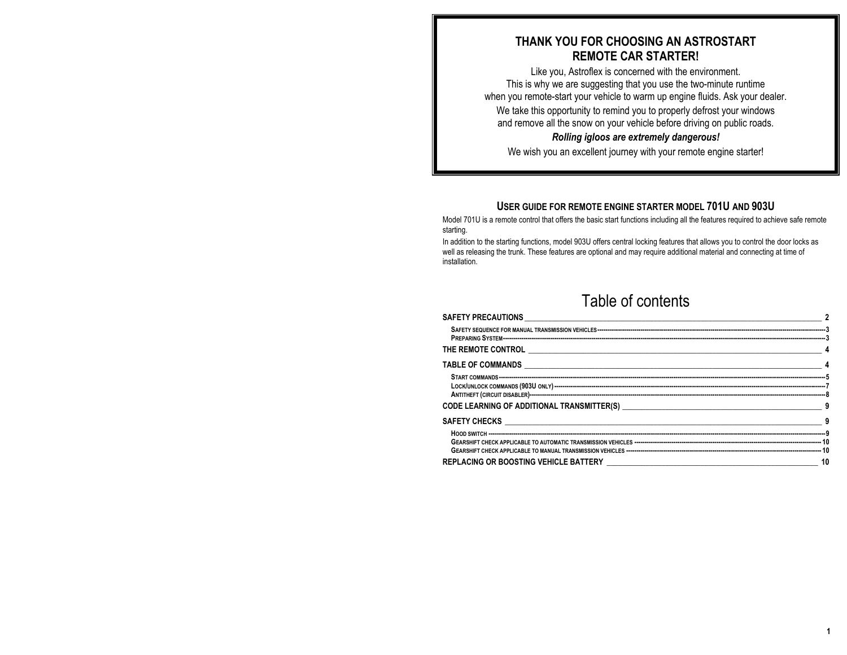## **THANK YOU FOR CHOOSING AN ASTROSTART REMOTE CAR STARTER!**

Like you, Astroflex is concerned with the environment. This is why we are suggesting that you use the two-minute runtime when you remote-start your vehicle to warm up engine fluids. Ask your dealer. We take this opportunity to remind you to properly defrost your windows and remove all the snow on your vehicle before driving on public roads.

## *Rolling igloos are extremely dangerous!*

We wish you an excellent journey with your remote engine starter!

## **USER GUIDE FOR REMOTE ENGINE STARTER MODEL 701U AND 903U**

Model 701U is a remote control that offers the basic start functions including all the features required to achieve safe remote starting.

In addition to the starting functions, model 903U offers central locking features that allows you to control the door locks as well as releasing the trunk. These features are optional and may require additional material and connecting at time of installation.

# Table of contents

| CODE LEARNING OF ADDITIONAL TRANSMITTER(S) NAMEL AND RESERVE TO A SERIES OF A SERIES OF A SERIES OF A SERIES OF A SERIES OF A SERIES OF A SERIES OF A SERIES OF A SERIES OF A SERIES OF A SERIES OF A SERIES OF A SERIES OF A |    |
|-------------------------------------------------------------------------------------------------------------------------------------------------------------------------------------------------------------------------------|----|
|                                                                                                                                                                                                                               |    |
|                                                                                                                                                                                                                               |    |
|                                                                                                                                                                                                                               | 10 |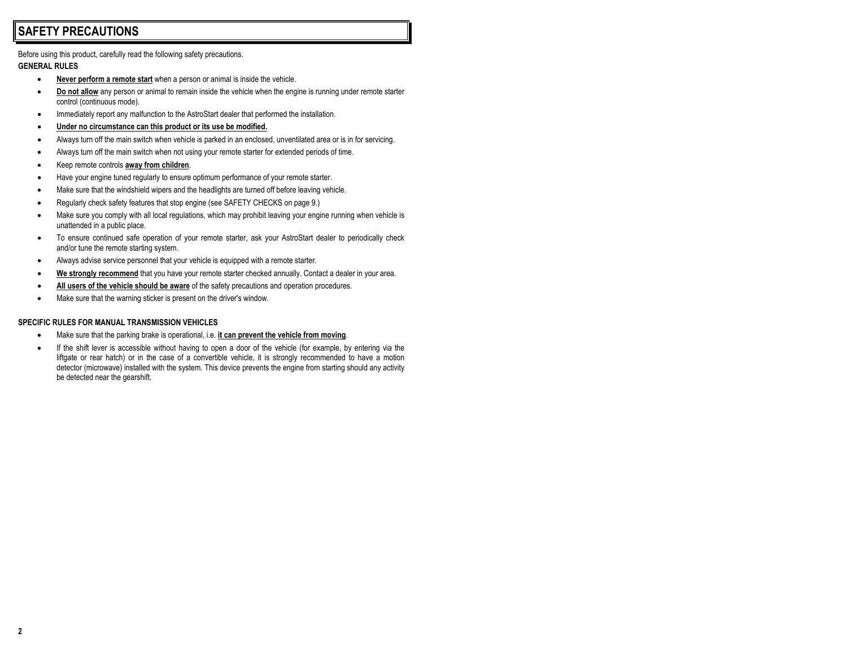# **SAFETY PRECAUTIONS**

Before using this product, carefully read the following safety precautions.

#### **GENERAL RULES**

- **Never perform a remote start** when a person or animal is inside the vehicle.
- **Do not allow** any person or animal to remain inside the vehicle when the engine is running under remote starter control (continuous mode).
- Immediately report any malfunction to the AstroStart dealer that performed the installation.
- **Under no circumstance can this product or its use be modified.**
- Always turn off the main switch when vehicle is parked in an enclosed, unventilated area or is in for servicing.
- Always turn off the main switch when not using your remote starter for extended periods of time.
- Keep remote controls **away from children**.
- Have your engine tuned regularly to ensure optimum performance of your remote starter.
- Make sure that the windshield wipers and the headlights are turned off before leaving vehicle.
- Regularly check safety features that stop engine (see SAFETY CHECKS on page 9.)
- Make sure you comply with all local regulations, which may prohibit leaving your engine running when vehicle is unattended in a public place.
- To ensure continued safe operation of your remote starter, ask your AstroStart dealer to periodically check and/or tune the remote starting system.
- Always advise service personnel that your vehicle is equipped with a remote starter.
- **We strongly recommend** that you have your remote starter checked annually. Contact a dealer in your area.
- **All users of the vehicle should be aware** of the safety precautions and operation procedures.
- Make sure that the warning sticker is present on the driver's window.

#### **SPECIFIC RULES FOR MANUAL TRANSMISSION VEHICLES**

- Make sure that the parking brake is operational, i.e. **it can prevent the vehicle from moving**.
- If the shift lever is accessible without having to open a door of the vehicle (for example, by entering via the liftgate or rear hatch) or in the case of a convertible vehicle, it is strongly recommended to have a motion detector (microwave) installed with the system. This device prevents the engine from starting should any activity be detected near the gearshift.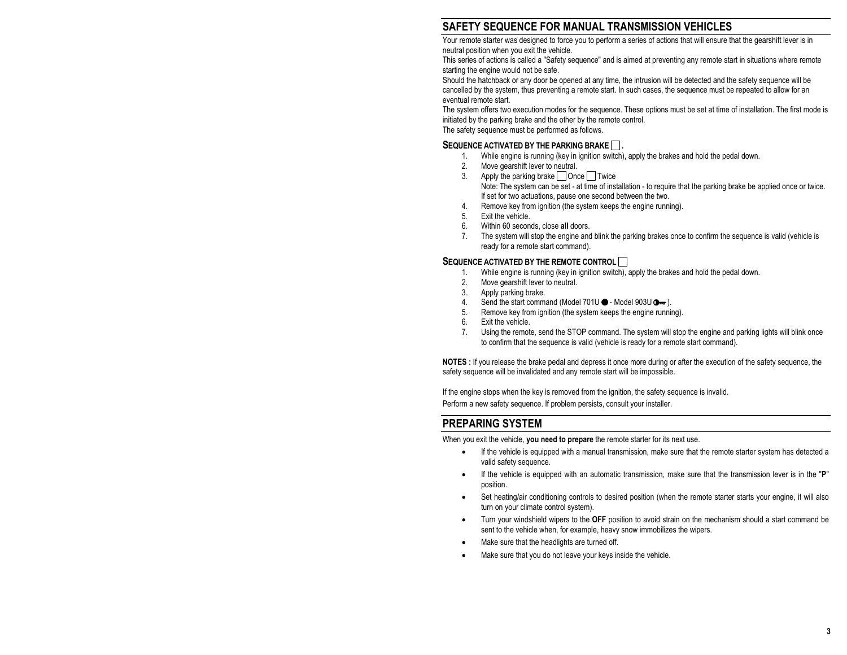## **SAFETY SEQUENCE FOR MANUAL TRANSMISSION VEHICLES**

Your remote starter was designed to force you to perform a series of actions that will ensure that the gearshift lever is in neutral position when you exit the vehicle.

This series of actions is called a "Safety sequence" and is aimed at preventing any remote start in situations where remote starting the engine would not be safe.

Should the hatchback or any door be opened at any time, the intrusion will be detected and the safety sequence will be cancelled by the system, thus preventing a remote start. In such cases, the sequence must be repeated to allow for an eventual remote start.

The system offers two execution modes for the sequence. These options must be set at time of installation. The first mode is initiated by the parking brake and the other by the remote control.

The safety sequence must be performed as follows.

#### SEQUENCE ACTIVATED BY THE PARKING BRAKE ...

- 1. While engine is running (key in ignition switch), apply the brakes and hold the pedal down.
- 2. Move gearshift lever to neutral.
- 3. Apply the parking brake  $\Box$  Once  $\Box$  Twice Note: The system can be set - at time of installation - to require that the parking brake be applied once or twice. If set for two actuations, pause one second between the two.
- 4. Remove key from ignition (the system keeps the engine running).
- 5. Exit the vehicle.
- 6. Within 60 seconds, close **all** doors.
- 7. The system will stop the engine and blink the parking brakes once to confirm the sequence is valid (vehicle is ready for a remote start command).

#### **SEQUENCE ACTIVATED BY THE REMOTE CONTROL**

- 1. While engine is running (key in ignition switch), apply the brakes and hold the pedal down.
- 2. Move gearshift lever to neutral.<br>3. Apply parking brake
- Apply parking brake.
- 4. Send the start command (Model 701U  $\bullet$  Model 903U  $\bullet\bullet$ ).
- 5. Remove key from ignition (the system keeps the engine running).
- 6. Exit the vehicle.
- 7. Using the remote, send the STOP command. The system will stop the engine and parking lights will blink once to confirm that the sequence is valid (vehicle is ready for a remote start command).

**NOTES :** If you release the brake pedal and depress it once more during or after the execution of the safety sequence, the safety sequence will be invalidated and any remote start will be impossible.

If the engine stops when the key is removed from the ignition, the safety sequence is invalid.

Perform a new safety sequence. If problem persists, consult your installer.

## **PREPARING SYSTEM**

When you exit the vehicle, **you need to prepare** the remote starter for its next use.

- If the vehicle is equipped with a manual transmission, make sure that the remote starter system has detected a valid safety sequence.
- If the vehicle is equipped with an automatic transmission, make sure that the transmission lever is in the "**P**" position.
- Set heating/air conditioning controls to desired position (when the remote starter starts your engine, it will also turn on your climate control system).
- Turn your windshield wipers to the **OFF** position to avoid strain on the mechanism should a start command be sent to the vehicle when, for example, heavy snow immobilizes the wipers.
- Make sure that the headlights are turned off.
- Make sure that you do not leave your keys inside the vehicle.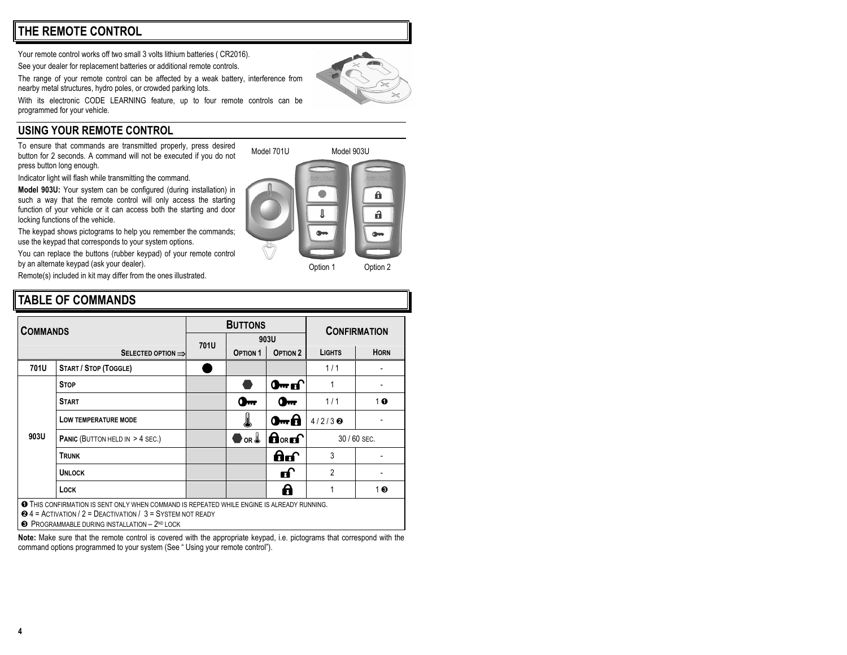Your remote control works off two small 3 volts lithium batteries ( CR2016).

See your dealer for replacement batteries or additional remote controls.

The range of your remote control can be affected by a weak battery, interference from

With its electronic CODE LEARNING feature, up to four remote controls can be programmed for your vehicle.

## **USING YOUR REMOTE CONTROL**

To ensure that commands are transmitted properly, press desired button for 2 seconds. A command will not be executed if you do not press button long enough.

Indicator light will flash while transmitting the command.

**Model 903U:** Your system can be configured (during installation) in such a way that the remote control will only access the starting function of your vehicle or it can access both the starting and door locking functions of the vehicle.

The keypad shows pictograms to help you remember the commands; use the keypad that corresponds to your system options.

You can replace the buttons (rubber keypad) of your remote control by an alternate keypad (ask your dealer).

Remote(s) included in kit may differ from the ones illustrated.

# **TABLE OF COMMANDS**

| <b>COMMANDS</b> |                                                                                                                                                                                                                             | <b>BUTTONS</b> |                         |                                     | <b>CONFIRMATION</b>                   |             |
|-----------------|-----------------------------------------------------------------------------------------------------------------------------------------------------------------------------------------------------------------------------|----------------|-------------------------|-------------------------------------|---------------------------------------|-------------|
|                 |                                                                                                                                                                                                                             | 701U           | 903U                    |                                     |                                       |             |
|                 | SELECTED OPTION $\Rightarrow$                                                                                                                                                                                               |                | <b>OPTION 1</b>         | OPTION <sub>2</sub>                 | <b>LIGHTS</b>                         | <b>HORN</b> |
| 701U            | <b>START / STOP (TOGGLE)</b>                                                                                                                                                                                                |                |                         |                                     | 1/1                                   |             |
| 903U            | <b>STOP</b>                                                                                                                                                                                                                 |                |                         | $0 \cdot \text{m}$                  |                                       |             |
|                 | <b>START</b>                                                                                                                                                                                                                |                | $\mathbf{0}$            | $\mathbf{Q}_{\mathbf{m}\mathbf{r}}$ | 1/1                                   | 10          |
|                 | LOW TEMPERATURE MODE                                                                                                                                                                                                        |                | J                       | 0 <del>-0</del>                     | $4/2/3$ <sup><math>\odot</math></sup> |             |
|                 | <b>PANIC (BUTTON HELD IN &gt; 4 SEC.)</b>                                                                                                                                                                                   |                | $\mathsf{O}_\mathsf{R}$ | $\mathbf{\theta}$ or $\mathbf{f}$   | 30 / 60 SEC.                          |             |
|                 | <b>TRUNK</b>                                                                                                                                                                                                                |                |                         | ெ                                   | 3                                     |             |
|                 | <b>UNLOCK</b>                                                                                                                                                                                                               |                |                         | மி                                  | $\overline{2}$                        |             |
|                 | Lock                                                                                                                                                                                                                        |                |                         | 8                                   |                                       | $1 \odot$   |
|                 | <b>THIS CONFIRMATION IS SENT ONLY WHEN COMMAND IS REPEATED WHILE ENGINE IS ALREADY RUNNING.</b><br>$\odot$ 4 = ACTIVATION / 2 = DEACTIVATION / 3 = SYSTEM NOT READY<br><b>8 PROGRAMMABLE DURING INSTALLATION - 2ND LOCK</b> |                |                         |                                     |                                       |             |

**Note:** Make sure that the remote control is covered with the appropriate keypad, i.e. pictograms that correspond with the command options programmed to your system (See " Using your remote control").

nearby metal structures, hydro poles, or crowded parking lots.



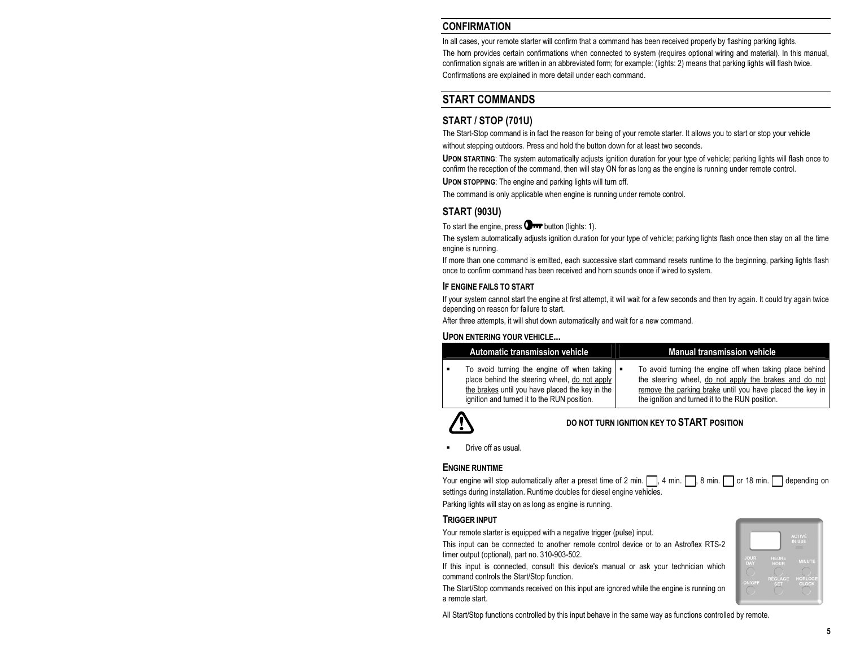## **CONFIRMATION**

In all cases, your remote starter will confirm that a command has been received properly by flashing parking lights.

The horn provides certain confirmations when connected to system (requires optional wiring and material). In this manual, confirmation signals are written in an abbreviated form; for example: (lights: 2) means that parking lights will flash twice.

Confirmations are explained in more detail under each command.

## **START COMMANDS**

## **START / STOP (701U)**

The Start-Stop command is in fact the reason for being of your remote starter. It allows you to start or stop your vehicle without stepping outdoors. Press and hold the button down for at least two seconds.

**UPON STARTING**: The system automatically adjusts ignition duration for your type of vehicle; parking lights will flash once to confirm the reception of the command, then will stay ON for as long as the engine is running under remote control.

**UPON STOPPING**: The engine and parking lights will turn off.

The command is only applicable when engine is running under remote control.

## **START (903U)**

To start the engine, press  $\mathbf{O}_{\mathbf{r}\cdot\mathbf{r}}$  button (lights: 1).

The system automatically adjusts ignition duration for your type of vehicle; parking lights flash once then stay on all the time engine is running.

If more than one command is emitted, each successive start command resets runtime to the beginning, parking lights flash once to confirm command has been received and horn sounds once if wired to system.

#### **IF ENGINE FAILS TO START**

If your system cannot start the engine at first attempt, it will wait for a few seconds and then try again. It could try again twice depending on reason for failure to start.

After three attempts, it will shut down automatically and wait for a new command.

#### **UPON ENTERING YOUR VEHICLE**

| Automatic transmission vehicle                                                                                                                                                                                | <b>Manual transmission vehicle</b>                                                                                                                                                                                                 |
|---------------------------------------------------------------------------------------------------------------------------------------------------------------------------------------------------------------|------------------------------------------------------------------------------------------------------------------------------------------------------------------------------------------------------------------------------------|
| To avoid turning the engine off when taking $\blacksquare$<br>place behind the steering wheel, do not apply<br>the brakes until you have placed the key in the<br>ignition and turned it to the RUN position. | To avoid turning the engine off when taking place behind<br>the steering wheel, do not apply the brakes and do not<br>remove the parking brake until you have placed the key in<br>the ignition and turned it to the RUN position. |



#### **DO NOT TURN IGNITION KEY TO START POSITION**

Drive off as usual.

#### **ENGINE RUNTIME**

| Your engine will stop automatically after a preset time of 2 min.  , 4 min.  , 8 min.   or 18 min.   depending on |  |
|-------------------------------------------------------------------------------------------------------------------|--|
| settings during installation. Runtime doubles for diesel engine vehicles.                                         |  |

Parking lights will stay on as long as engine is running.

#### **TRIGGER INPUT**

Your remote starter is equipped with a negative trigger (pulse) input.

This input can be connected to another remote control device or to an Astroflex RTS-2 timer output (optional), part no. 310-903-502.

If this input is connected, consult this device's manual or ask your technician which command controls the Start/Stop function.

The Start/Stop commands received on this input are ignored while the engine is running on a remote start.

All Start/Stop functions controlled by this input behave in the same way as functions controlled by remote.

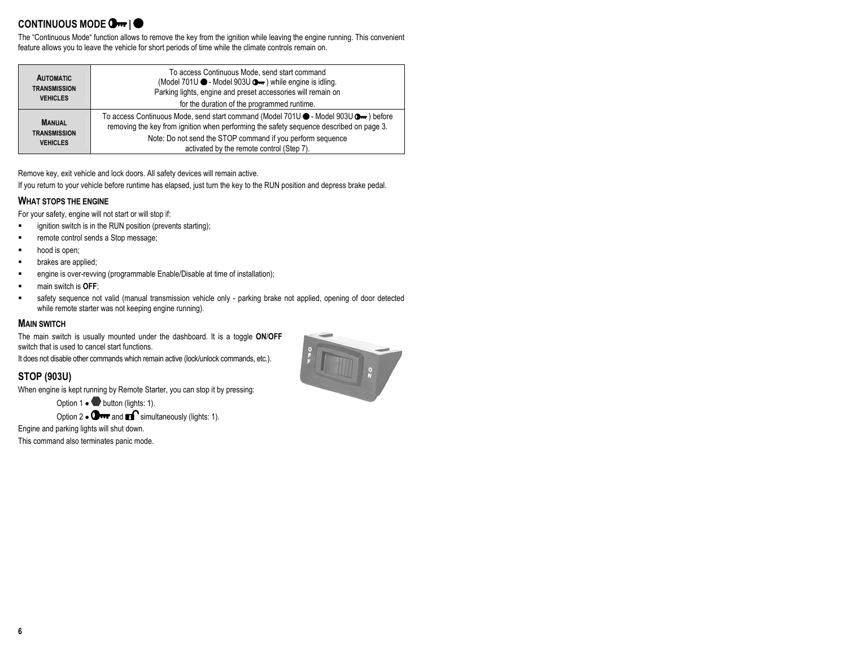## **CONTINUOUS MODE Om | O**

The "Continuous Mode" function allows to remove the key from the ignition while leaving the engine running. This convenient feature allows you to leave the vehicle for short periods of time while the climate controls remain on.

| <b>AUTOMATIC</b><br><b>TRANSMISSION</b><br><b>VEHICLES</b> | To access Continuous Mode, send start command<br>(Model 701U ● - Model 903U → ) while engine is idling.<br>Parking lights, engine and preset accessories will remain on<br>for the duration of the programmed runtime.                                                                    |
|------------------------------------------------------------|-------------------------------------------------------------------------------------------------------------------------------------------------------------------------------------------------------------------------------------------------------------------------------------------|
| <b>MANUAL</b><br><b>TRANSMISSION</b><br><b>VEHICLES</b>    | To access Continuous Mode, send start command (Model 701U ● - Model 903U O · before<br>removing the key from ignition when performing the safety sequence described on page 3.<br>Note: Do not send the STOP command if you perform sequence<br>activated by the remote control (Step 7). |

Remove key, exit vehicle and lock doors. All safety devices will remain active.

If you return to your vehicle before runtime has elapsed, just turn the key to the RUN position and depress brake pedal.

#### **WHAT STOPS THE ENGINE**

For your safety, engine will not start or will stop if:

- **Example 1** ignition switch is in the RUN position (prevents starting);
- remote control sends a Stop message;
- hood is open;
- brakes are applied;
- **EXECT** engine is over-revving (programmable Enable/Disable at time of installation);
- main switch is **OFF**;
- safety sequence not valid (manual transmission vehicle only parking brake not applied, opening of door detected while remote starter was not keeping engine running).

#### **MAIN SWITCH**

The main switch is usually mounted under the dashboard. It is a toggle **ON**/**OFF** switch that is used to cancel start functions.

It does not disable other commands which remain active (lock/unlock commands, etc.).

## **STOP (903U)**

When engine is kept running by Remote Starter, you can stop it by pressing:

Option 1 • button (lights: 1).

Option 2  $\bullet$  O  $\bullet\bullet$  and  $\bullet\bullet$  simultaneously (lights: 1).

Engine and parking lights will shut down.

This command also terminates panic mode.

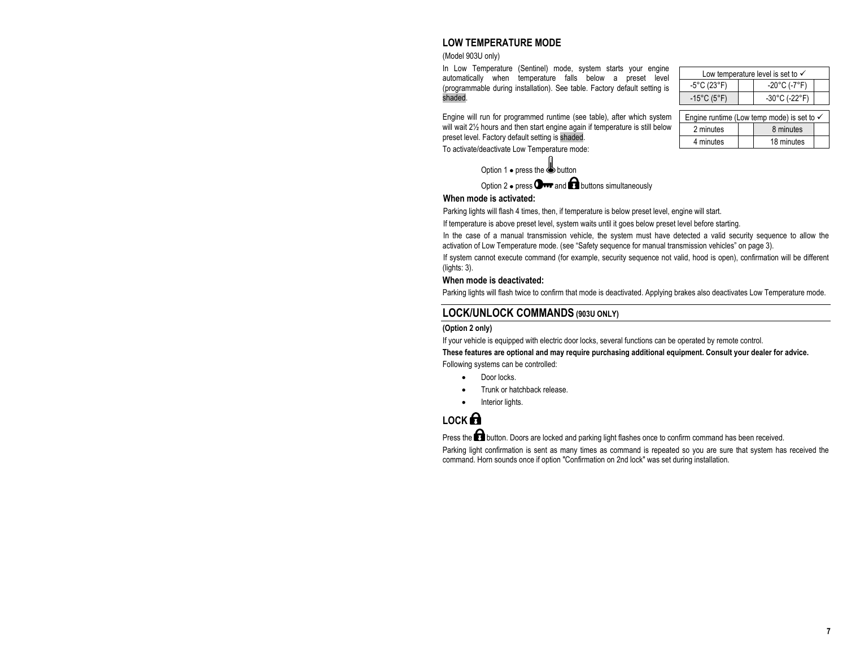## **LOW TEMPERATURE MODE**

#### (Model 903U only)

In Low Temperature (Sentinel) mode, system starts your engine automatically when temperature falls below a preset level (programmable during installation). See table. Factory default setting is shaded.

Engine will run for programmed runtime (see table), after which system will wait 2½ hours and then start engine again if temperature is still below preset level. Factory default setting is shaded.

To activate/deactivate Low Temperature mode:

Option 1 • press the button

Option 2  $\bullet$  press  $\bigcirc$  and  $\bigcirc$  buttons simultaneously

#### **When mode is activated:**

Parking lights will flash 4 times, then, if temperature is below preset level, engine will start.

If temperature is above preset level, system waits until it goes below preset level before starting.

In the case of a manual transmission vehicle, the system must have detected a valid security sequence to allow the activation of Low Temperature mode. (see "Safety sequence for manual transmission vehicles" on page 3).

If system cannot execute command (for example, security sequence not valid, hood is open), confirmation will be different (lights: 3).

## **When mode is deactivated:**

Parking lights will flash twice to confirm that mode is deactivated. Applying brakes also deactivates Low Temperature mode.

## **LOCK/UNLOCK COMMANDS (903U ONLY)**

#### **(Option 2 only)**

If your vehicle is equipped with electric door locks, several functions can be operated by remote control.

**These features are optional and may require purchasing additional equipment. Consult your dealer for advice.** 

Following systems can be controlled:

- Door locks
- Trunk or hatchback release.
- Interior lights.

# **LOCK**

Press the **button.** Doors are locked and parking light flashes once to confirm command has been received.

Parking light confirmation is sent as many times as command is repeated so you are sure that system has received the command. Horn sounds once if option "Confirmation on 2nd lock" was set during installation.

| Low temperature level is set to $\checkmark$ |  |                                    |  |
|----------------------------------------------|--|------------------------------------|--|
| $-5^{\circ}$ C (23 $^{\circ}$ F)             |  | $-20^{\circ}$ C (-7 $^{\circ}$ F)  |  |
| $-15^{\circ}$ C (5 $^{\circ}$ F)             |  | $-30^{\circ}$ C (-22 $^{\circ}$ F) |  |
|                                              |  |                                    |  |

| Engine runtime (Low temp mode) is set to $\checkmark$ |  |            |  |
|-------------------------------------------------------|--|------------|--|
| 2 minutes                                             |  | 8 minutes  |  |
| 4 minutes                                             |  | 18 minutes |  |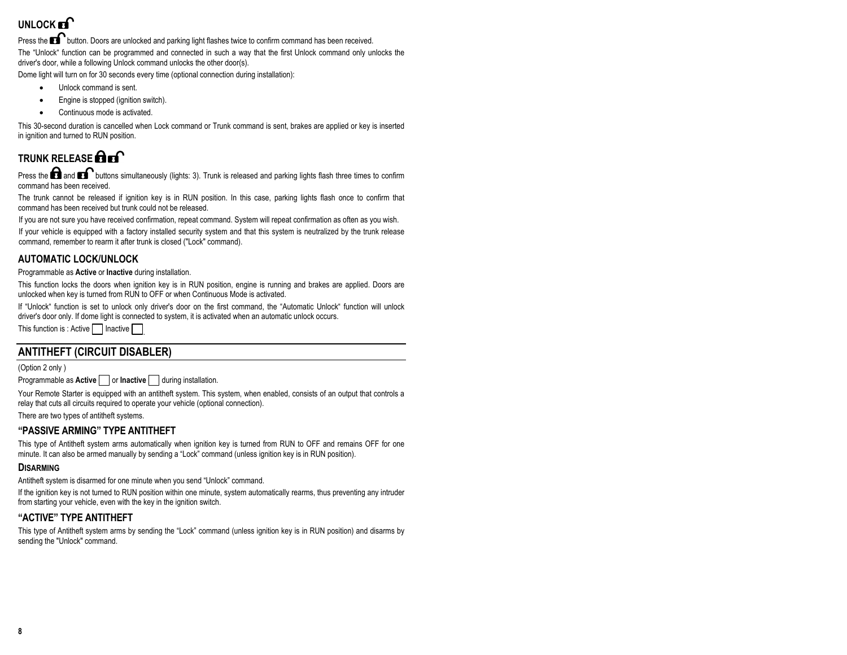# UNLOCK **FI**

Press the  $\blacksquare$  button. Doors are unlocked and parking light flashes twice to confirm command has been received.

The "Unlock" function can be programmed and connected in such a way that the first Unlock command only unlocks the driver's door, while a following Unlock command unlocks the other door(s).

Dome light will turn on for 30 seconds every time (optional connection during installation):

- Unlock command is sent.
- Engine is stopped (ignition switch).
- Continuous mode is activated.

This 30-second duration is cancelled when Lock command or Trunk command is sent, brakes are applied or key is inserted in ignition and turned to RUN position.

# **TRUNK RELEASE <b>Art**

Press the  $\bigcap$  and  $\bigcap$  buttons simultaneously (lights: 3). Trunk is released and parking lights flash three times to confirm command has been received.

The trunk cannot be released if ignition key is in RUN position. In this case, parking lights flash once to confirm that command has been received but trunk could not be released.

If you are not sure you have received confirmation, repeat command. System will repeat confirmation as often as you wish.

If your vehicle is equipped with a factory installed security system and that this system is neutralized by the trunk release command, remember to rearm it after trunk is closed ("Lock" command).

## **AUTOMATIC LOCK/UNLOCK**

Programmable as **Active** or **Inactive** during installation.

This function locks the doors when ignition key is in RUN position, engine is running and brakes are applied. Doors are unlocked when key is turned from RUN to OFF or when Continuous Mode is activated.

If "Unlock" function is set to unlock only driver's door on the first command, the "Automatic Unlock" function will unlock driver's door only. If dome light is connected to system, it is activated when an automatic unlock occurs.

This function is : Active  $\Box$  Inactive  $\Box$ 

## **ANTITHEFT (CIRCUIT DISABLER)**

(Option 2 only )

Programmable as **Active** or **Inactive** during installation.

Your Remote Starter is equipped with an antitheft system. This system, when enabled, consists of an output that controls a relay that cuts all circuits required to operate your vehicle (optional connection).

There are two types of antitheft systems.

#### **"PASSIVE ARMING" TYPE ANTITHEFT**

This type of Antitheft system arms automatically when ignition key is turned from RUN to OFF and remains OFF for one minute. It can also be armed manually by sending a "Lock" command (unless ignition key is in RUN position).

#### **DISARMING**

Antitheft system is disarmed for one minute when you send "Unlock" command.

If the ignition key is not turned to RUN position within one minute, system automatically rearms, thus preventing any intruder from starting your vehicle, even with the key in the ignition switch.

#### **"ACTIVE" TYPE ANTITHEFT**

This type of Antitheft system arms by sending the "Lock" command (unless ignition key is in RUN position) and disarms by sending the "Unlock" command.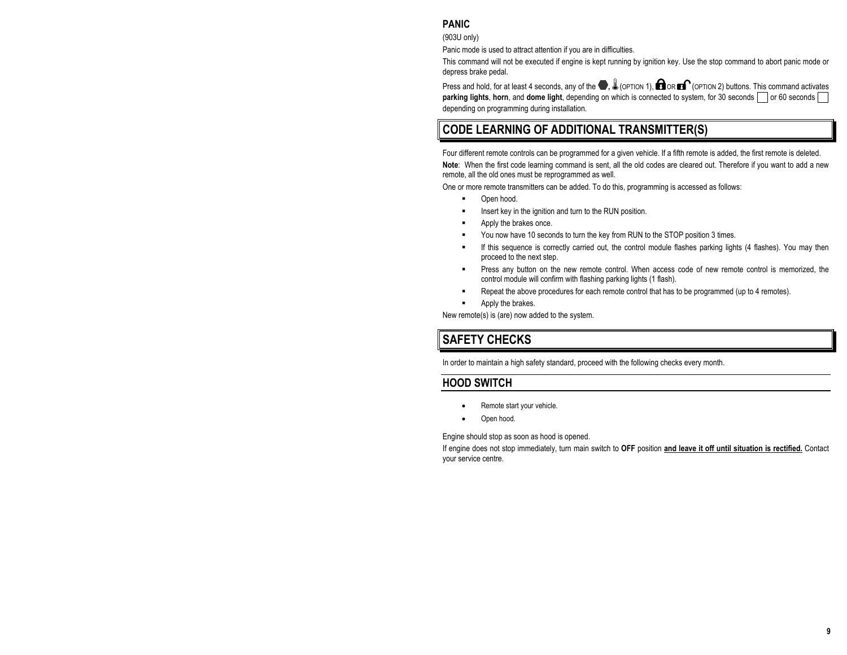## **PANIC**

(903U only)

Panic mode is used to attract attention if you are in difficulties.

This command will not be executed if engine is kept running by ignition key. Use the stop command to abort panic mode or depress brake pedal.

Press and hold, for at least 4 seconds, any of the  $\blacksquare$ ,  $\clubsuit$  (OPTION 1),  $\blacksquare$  OR  $\blacksquare$  (OPTION 2) buttons. This command activates **parking lights**, horn, and dome light, depending on which is connected to system, for 30 seconds or 60 seconds or depending on programming during installation.

# **CODE LEARNING OF ADDITIONAL TRANSMITTER(S)**

Four different remote controls can be programmed for a given vehicle. If a fifth remote is added, the first remote is deleted. **Note**: When the first code learning command is sent, all the old codes are cleared out. Therefore if you want to add a new remote, all the old ones must be reprogrammed as well.

One or more remote transmitters can be added. To do this, programming is accessed as follows:

- Open hood.
- **Insert key in the ignition and turn to the RUN position.**
- **EXECUTE:** Apply the brakes once.
- You now have 10 seconds to turn the key from RUN to the STOP position 3 times.
- If this sequence is correctly carried out, the control module flashes parking lights (4 flashes). You may then proceed to the next step.
- Press any button on the new remote control. When access code of new remote control is memorized, the control module will confirm with flashing parking lights (1 flash).
- Repeat the above procedures for each remote control that has to be programmed (up to 4 remotes).
- Apply the brakes.

New remote(s) is (are) now added to the system.

# **SAFETY CHECKS**

In order to maintain a high safety standard, proceed with the following checks every month.

## **HOOD SWITCH**

- Remote start your vehicle.
- Open hood.

Engine should stop as soon as hood is opened.

If engine does not stop immediately, turn main switch to **OFF** position **and leave it off until situation is rectified.** Contact your service centre.